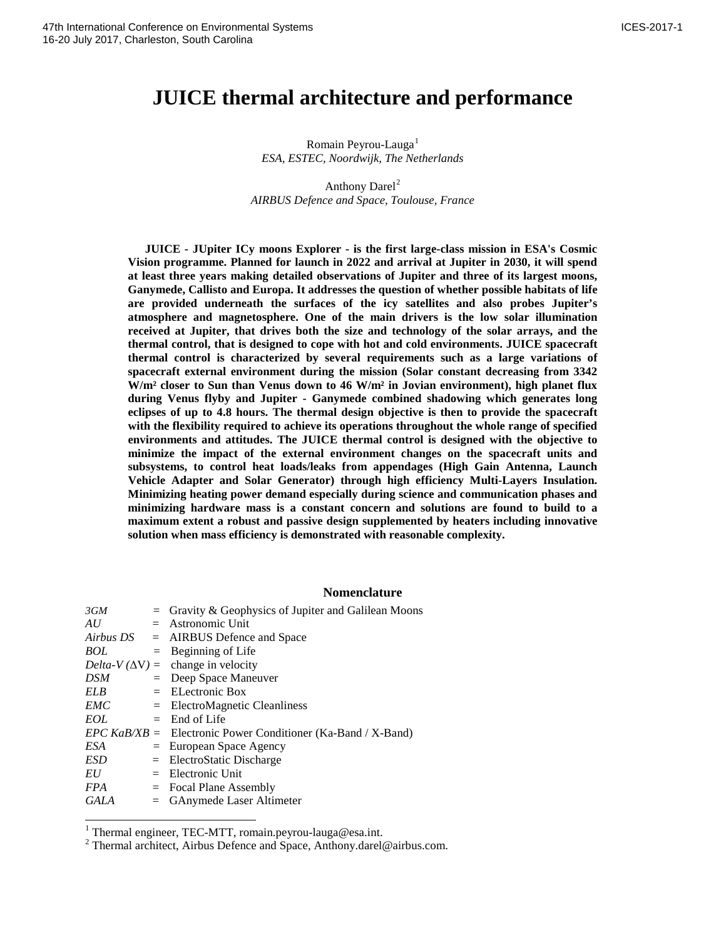# **JUICE thermal architecture and performance**

Romain Peyrou-Lauga<sup>[1](#page-0-0)</sup> *ESA, ESTEC, Noordwijk, The Netherlands*

Anthony Darel<sup>[2](#page-0-1)</sup> *AIRBUS Defence and Space, Toulouse, France*

**JUICE - JUpiter ICy moons Explorer - is the first large-class mission in ESA's Cosmic Vision programme. Planned for launch in 2022 and arrival at Jupiter in 2030, it will spend at least three years making detailed observations of Jupiter and three of its largest moons, Ganymede, Callisto and Europa. It addresses the question of whether possible habitats of life are provided underneath the surfaces of the icy satellites and also probes Jupiter's atmosphere and magnetosphere. One of the main drivers is the low solar illumination received at Jupiter, that drives both the size and technology of the solar arrays, and the thermal control, that is designed to cope with hot and cold environments. JUICE spacecraft thermal control is characterized by several requirements such as a large variations of spacecraft external environment during the mission (Solar constant decreasing from 3342 W/m² closer to Sun than Venus down to 46 W/m² in Jovian environment), high planet flux during Venus flyby and Jupiter - Ganymede combined shadowing which generates long eclipses of up to 4.8 hours. The thermal design objective is then to provide the spacecraft with the flexibility required to achieve its operations throughout the whole range of specified environments and attitudes. The JUICE thermal control is designed with the objective to minimize the impact of the external environment changes on the spacecraft units and subsystems, to control heat loads/leaks from appendages (High Gain Antenna, Launch Vehicle Adapter and Solar Generator) through high efficiency Multi-Layers Insulation. Minimizing heating power demand especially during science and communication phases and minimizing hardware mass is a constant concern and solutions are found to build to a maximum extent a robust and passive design supplemented by heaters including innovative solution when mass efficiency is demonstrated with reasonable complexity.**

# **Nomenclature**

| 3GM         | $=$ Gravity & Geophysics of Jupiter and Galilean Moons         |
|-------------|----------------------------------------------------------------|
| AU          | $=$ Astronomic Unit                                            |
|             | $Airbus DS = AIRBUS$ Defence and Space                         |
| <b>BOL</b>  | $=$ Beginning of Life                                          |
|             | $Delta-V(\Delta V) = \text{change in velocity}$                |
| <b>DSM</b>  | $=$ Deep Space Maneuver                                        |
| <b>ELB</b>  | $=$ EL ectronic Box                                            |
| <b>EMC</b>  | $=$ ElectroMagnetic Cleanliness                                |
| EOL         | $=$ End of Life                                                |
|             | $EPC$ KaB/XB = Electronic Power Conditioner (Ka-Band / X-Band) |
| ESA         | $=$ European Space Agency                                      |
| <b>ESD</b>  | $=$ ElectroStatic Discharge                                    |
| EU          | $=$ Electronic Unit                                            |
| <i>FPA</i>  | $=$ Focal Plane Assembly                                       |
| <b>GALA</b> | $=$ GAnymede Laser Altimeter                                   |

<span id="page-0-1"></span><span id="page-0-0"></span><sup>&</sup>lt;sup>1</sup> Thermal engineer, TEC-MTT, romain.peyrou-lauga@esa.int.<br><sup>2</sup> Thermal architect, Airbus Defence and Space, Anthony.darel@airbus.com.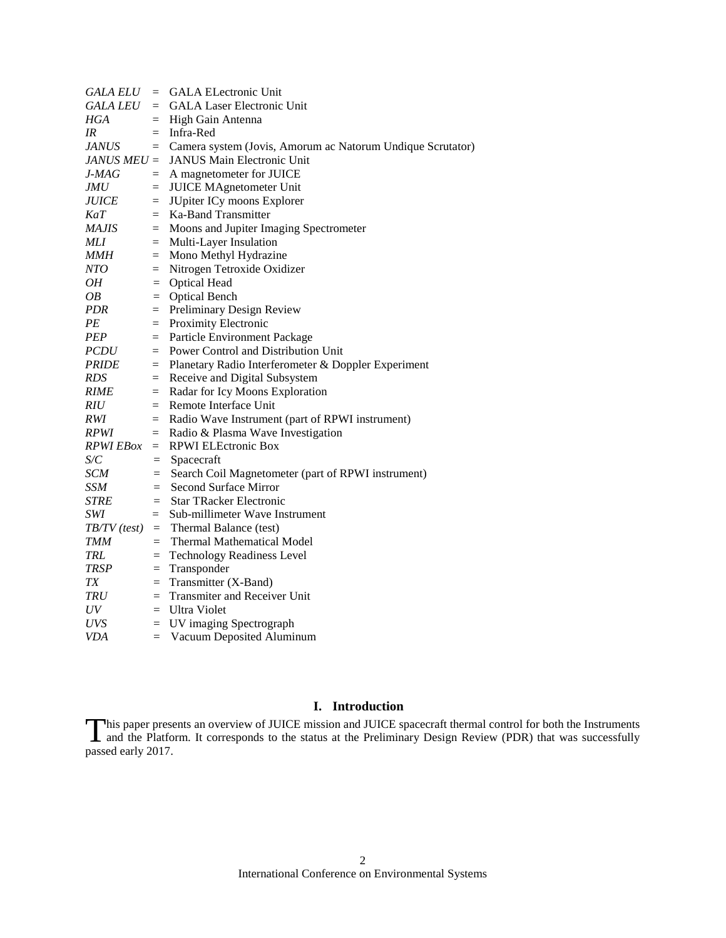| <b>GALA ELU</b>     |          | $=$ GALA ELectronic Unit                                   |  |  |
|---------------------|----------|------------------------------------------------------------|--|--|
| GALA LEU            |          | = GALA Laser Electronic Unit                               |  |  |
| HGA                 |          | $=$ High Gain Antenna                                      |  |  |
| IR                  |          | $=$ Infra-Red                                              |  |  |
| <b>JANUS</b>        | $=$      | Camera system (Jovis, Amorum ac Natorum Undique Scrutator) |  |  |
| $JANUS MEU =$       |          | JANUS Main Electronic Unit                                 |  |  |
| J-MAG               | $=$      | A magnetometer for JUICE                                   |  |  |
| <i>JMU</i>          | $=$      | <b>JUICE MAgnetometer Unit</b>                             |  |  |
| <i><b>JUICE</b></i> | $=$      | JUpiter ICy moons Explorer                                 |  |  |
| KaT                 | $=$      | Ka-Band Transmitter                                        |  |  |
| MAJIS               |          | = Moons and Jupiter Imaging Spectrometer                   |  |  |
| MLI                 |          | $=$ Multi-Layer Insulation                                 |  |  |
| MMH                 | $\equiv$ | Mono Methyl Hydrazine                                      |  |  |
| NTO                 | $=$      | Nitrogen Tetroxide Oxidizer                                |  |  |
| OН                  | $=$      | <b>Optical Head</b>                                        |  |  |
| OB                  | $=$      | <b>Optical Bench</b>                                       |  |  |
| PDR                 | $=$      | <b>Preliminary Design Review</b>                           |  |  |
| PЕ                  | $=$      | Proximity Electronic                                       |  |  |
| <b>PEP</b>          | $=$      | Particle Environment Package                               |  |  |
| <i>PCDU</i>         | $=$      | Power Control and Distribution Unit                        |  |  |
| <i>PRIDE</i>        | $=$      | Planetary Radio Interferometer & Doppler Experiment        |  |  |
| RDS                 | $\equiv$ | Receive and Digital Subsystem                              |  |  |
| <i>RIME</i>         | $=$      | Radar for Icy Moons Exploration                            |  |  |
| RIU                 |          | $=$ Remote Interface Unit                                  |  |  |
| RWI                 |          | = Radio Wave Instrument (part of RPWI instrument)          |  |  |
| <i>RPWI</i>         | $=$      | Radio & Plasma Wave Investigation                          |  |  |
| RPWI EBox           |          | $=$ RPWI ELEctronic Box                                    |  |  |
| S/C                 | $=$      | Spacecraft                                                 |  |  |
| SCM                 | $=$      | Search Coil Magnetometer (part of RPWI instrument)         |  |  |
| SSM                 |          | $=$ Second Surface Mirror                                  |  |  |
| <b>STRE</b>         | $=$      | <b>Star TRacker Electronic</b>                             |  |  |
| SWI                 | $=$      | Sub-millimeter Wave Instrument                             |  |  |
| $TB/TV$ (test)      |          | $=$ Thermal Balance (test)                                 |  |  |
| TMM                 |          | $=$ Thermal Mathematical Model                             |  |  |
| TRL                 |          | = Technology Readiness Level                               |  |  |
| <b>TRSP</b>         |          | $=$ Transponder                                            |  |  |
| TX                  |          | $=$ Transmitter (X-Band)                                   |  |  |
| TRU                 |          | $=$ Transmiter and Receiver Unit                           |  |  |
| $_{UV}$             |          | $=$ Ultra Violet                                           |  |  |
| UVS                 |          | $=$ UV imaging Spectrograph                                |  |  |
| VDA                 | $=$      | Vacuum Deposited Aluminum                                  |  |  |

# **I. Introduction**

his paper presents an overview of JUICE mission and JUICE spacecraft thermal control for both the Instruments This paper presents an overview of JUICE mission and JUICE spacecraft thermal control for both the Instruments<br>and the Platform. It corresponds to the status at the Preliminary Design Review (PDR) that was successfully passed early 2017.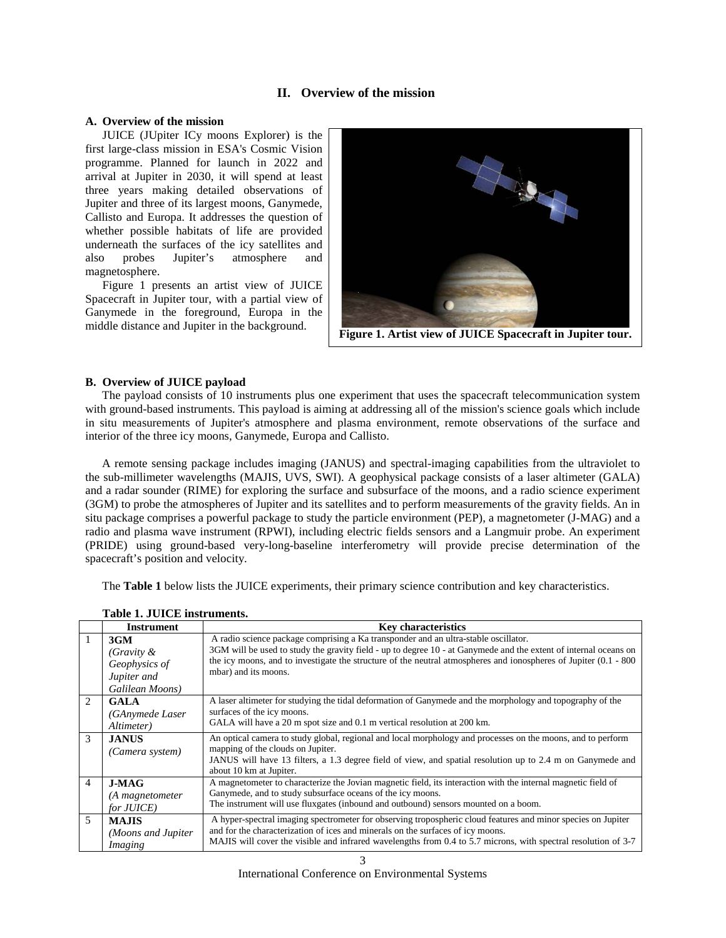# <span id="page-2-0"></span>**II. Overview of the mission**

## **A. Overview of the mission**

JUICE (JUpiter ICy moons Explorer) is the first large-class mission in ESA's Cosmic Vision programme. Planned for launch in 2022 and arrival at Jupiter in 2030, it will spend at least three years making detailed observations of Jupiter and three of its largest moons, Ganymede, Callisto and Europa. It addresses the question of whether possible habitats of life are provided underneath the surfaces of the icy satellites and also probes Jupiter's atmosphere and magnetosphere.

[Figure 1](#page-2-0) presents an artist view of JUICE Spacecraft in Jupiter tour, with a partial view of Ganymede in the foreground, Europa in the



## **B. Overview of JUICE payload**

The payload consists of 10 instruments plus one experiment that uses the spacecraft telecommunication system with ground-based instruments. This payload is aiming at addressing all of the mission's science goals which include in situ measurements of Jupiter's atmosphere and plasma environment, remote observations of the surface and interior of the three icy moons, Ganymede, Europa and Callisto.

A remote sensing package includes imaging (JANUS) and spectral-imaging capabilities from the ultraviolet to the sub-millimeter wavelengths (MAJIS, UVS, SWI). A geophysical package consists of a laser altimeter (GALA) and a radar sounder (RIME) for exploring the surface and subsurface of the moons, and a radio science experiment (3GM) to probe the atmospheres of Jupiter and its satellites and to perform measurements of the gravity fields. An in situ package comprises a powerful package to study the particle environment (PEP), a magnetometer (J-MAG) and a radio and plasma wave instrument (RPWI), including electric fields sensors and a Langmuir probe. An experiment (PRIDE) using ground-based very-long-baseline interferometry will provide precise determination of the spacecraft's position and velocity.

The **[Table 1](#page-2-1)** below lists the JUICE experiments, their primary science contribution and key characteristics.

|                          | <b>Key characteristics</b><br><b>Instrument</b>      |                                                                                                                                                                                                                                                                                                                   |
|--------------------------|------------------------------------------------------|-------------------------------------------------------------------------------------------------------------------------------------------------------------------------------------------------------------------------------------------------------------------------------------------------------------------|
| 3GM<br>(Gravity $\&$     |                                                      | A radio science package comprising a Ka transponder and an ultra-stable oscillator.<br>3GM will be used to study the gravity field - up to degree 10 - at Ganymede and the extent of internal oceans on                                                                                                           |
|                          | Geophysics of<br>Jupiter and<br>Galilean Moons)      | the icy moons, and to investigate the structure of the neutral atmospheres and ionospheres of Jupiter $(0.1 - 800)$<br>mbar) and its moons.                                                                                                                                                                       |
| $\mathfrak{D}$           | <b>GALA</b><br>(GAnymede Laser<br><i>Altimeter</i> ) | A laser altimeter for studying the tidal deformation of Ganymede and the morphology and topography of the<br>surfaces of the icy moons.<br>GALA will have a 20 m spot size and 0.1 m vertical resolution at 200 km.                                                                                               |
| 3                        | <b>JANUS</b><br>(Camera system)                      | An optical camera to study global, regional and local morphology and processes on the moons, and to perform<br>mapping of the clouds on Jupiter.<br>JANUS will have 13 filters, a 1.3 degree field of view, and spatial resolution up to 2.4 m on Ganymede and<br>about 10 km at Jupiter.                         |
| 4                        | $J-MAG$<br>(A magnetometer<br>for JUICE)             | A magnetometer to characterize the Jovian magnetic field, its interaction with the internal magnetic field of<br>Ganymede, and to study subsurface oceans of the icy moons.<br>The instrument will use fluxgates (inbound and outbound) sensors mounted on a boom.                                                |
| $\overline{\phantom{0}}$ | <b>MAJIS</b><br>(Moons and Jupiter)<br>Imaging       | A hyper-spectral imaging spectrometer for observing tropospheric cloud features and minor species on Jupiter<br>and for the characterization of ices and minerals on the surfaces of icy moons.<br>MAJIS will cover the visible and infrared wavelengths from 0.4 to 5.7 microns, with spectral resolution of 3-7 |
|                          |                                                      |                                                                                                                                                                                                                                                                                                                   |

<span id="page-2-1"></span>**Table 1. JUICE instruments.**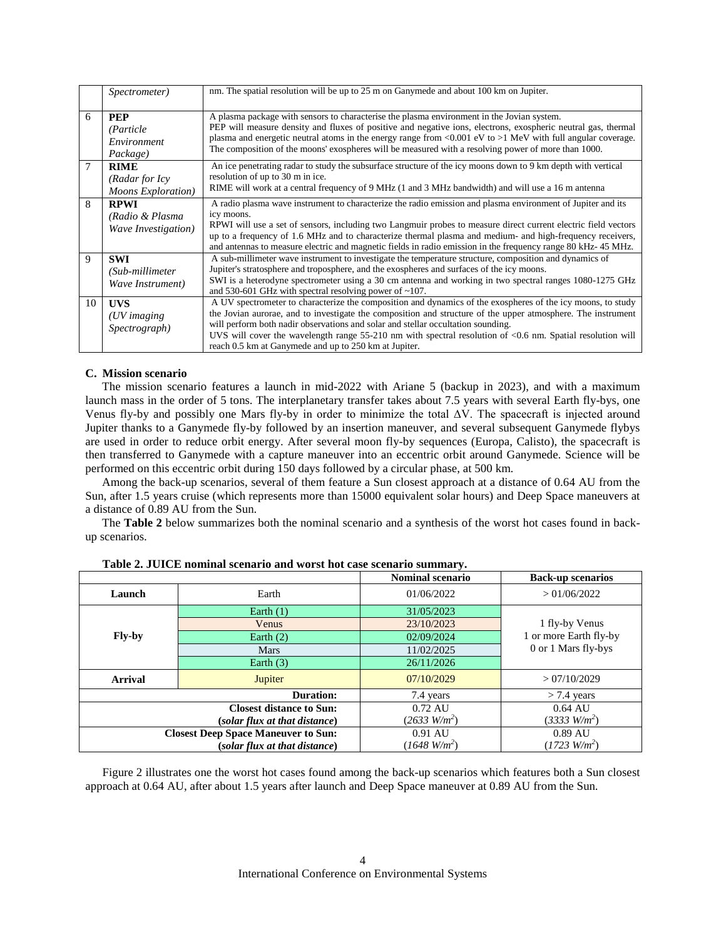|    | Spectrometer)                                         | nm. The spatial resolution will be up to 25 m on Ganymede and about 100 km on Jupiter.                                                                                                                                                                                                                                                                                                                                                                                                        |
|----|-------------------------------------------------------|-----------------------------------------------------------------------------------------------------------------------------------------------------------------------------------------------------------------------------------------------------------------------------------------------------------------------------------------------------------------------------------------------------------------------------------------------------------------------------------------------|
| 6  | <b>PEP</b><br>(Particle)<br>Environment<br>Package)   | A plasma package with sensors to characterise the plasma environment in the Jovian system.<br>PEP will measure density and fluxes of positive and negative ions, electrons, exospheric neutral gas, thermal<br>plasma and energetic neutral atoms in the energy range from <0.001 eV to >1 MeV with full angular coverage.<br>The composition of the moons' exospheres will be measured with a resolving power of more than 1000.                                                             |
| 7  | <b>RIME</b><br>(Radar for Icy<br>Moons Exploration)   | An ice penetrating radar to study the subsurface structure of the icy moons down to 9 km depth with vertical<br>resolution of up to 30 m in ice.<br>RIME will work at a central frequency of 9 MHz (1 and 3 MHz bandwidth) and will use a 16 m antenna                                                                                                                                                                                                                                        |
| 8  | <b>RPWI</b><br>(Radio & Plasma<br>Wave Investigation) | A radio plasma wave instrument to characterize the radio emission and plasma environment of Jupiter and its<br>icy moons.<br>RPWI will use a set of sensors, including two Langmuir probes to measure direct current electric field vectors<br>up to a frequency of 1.6 MHz and to characterize thermal plasma and medium- and high-frequency receivers,<br>and antennas to measure electric and magnetic fields in radio emission in the frequency range 80 kHz- 45 MHz.                     |
| 9  | <b>SWI</b><br>(Sub-millimeter<br>Wave Instrument)     | A sub-millimeter wave instrument to investigate the temperature structure, composition and dynamics of<br>Jupiter's stratosphere and troposphere, and the exospheres and surfaces of the icy moons.<br>SWI is a heterodyne spectrometer using a 30 cm antenna and working in two spectral ranges 1080-1275 GHz<br>and 530-601 GHz with spectral resolving power of $\sim$ 107.                                                                                                                |
| 10 | <b>UVS</b><br>$(UV$ imaging<br>Spectrograph)          | A UV spectrometer to characterize the composition and dynamics of the exospheres of the icy moons, to study<br>the Jovian aurorae, and to investigate the composition and structure of the upper atmosphere. The instrument<br>will perform both nadir observations and solar and stellar occultation sounding.<br>UVS will cover the wavelength range $55-210$ nm with spectral resolution of $\le 0.6$ nm. Spatial resolution will<br>reach 0.5 km at Ganymede and up to 250 km at Jupiter. |

# **C. Mission scenario**

The mission scenario features a launch in mid-2022 with Ariane 5 (backup in 2023), and with a maximum launch mass in the order of 5 tons. The interplanetary transfer takes about 7.5 years with several Earth fly-bys, one Venus fly-by and possibly one Mars fly-by in order to minimize the total ΔV. The spacecraft is injected around Jupiter thanks to a Ganymede fly-by followed by an insertion maneuver, and several subsequent Ganymede flybys are used in order to reduce orbit energy. After several moon fly-by sequences (Europa, Calisto), the spacecraft is then transferred to Ganymede with a capture maneuver into an eccentric orbit around Ganymede. Science will be performed on this eccentric orbit during 150 days followed by a circular phase, at 500 km.

Among the back-up scenarios, several of them feature a Sun closest approach at a distance of 0.64 AU from the Sun, after 1.5 years cruise (which represents more than 15000 equivalent solar hours) and Deep Space maneuvers at a distance of 0.89 AU from the Sun.

The **[Table 2](#page-3-0)** below summarizes both the nominal scenario and a synthesis of the worst hot cases found in backup scenarios.

|                |                                            | <b>Nominal scenario</b> | <b>Back-up scenarios</b> |
|----------------|--------------------------------------------|-------------------------|--------------------------|
| Launch         | Earth                                      | 01/06/2022              | > 01/06/2022             |
|                | Earth $(1)$                                | 31/05/2023              |                          |
|                | Venus                                      | 23/10/2023              | 1 fly-by Venus           |
| Fly-by         | Earth $(2)$                                | 02/09/2024              | 1 or more Earth fly-by   |
|                | <b>Mars</b>                                | 11/02/2025              | 0 or 1 Mars fly-bys      |
|                | Earth $(3)$                                | 26/11/2026              |                          |
| <b>Arrival</b> | Jupiter                                    | 07/10/2029              | > 07/10/2029             |
|                | Duration:                                  | 7.4 years               | $>$ 7.4 years            |
|                | <b>Closest distance to Sun:</b>            | $0.72 \text{ AU}$       | $0.64 \text{ AU}$        |
|                | (solar flux at that distance)              | $(2633 \text{ W/m}^2)$  | $(3333 \text{ W/m}^2)$   |
|                | <b>Closest Deep Space Maneuver to Sun:</b> | 0.91 AU                 | 0.89 AU                  |
|                | (solar flux at that distance)              | $(1648 \text{ W/m}^2)$  | $(1723 \text{ W/m}^2)$   |

<span id="page-3-0"></span>

| Table 2. JUICE nominal scenario and worst hot case scenario summary. |  |  |  |  |
|----------------------------------------------------------------------|--|--|--|--|
|----------------------------------------------------------------------|--|--|--|--|

[Figure 2](#page-4-0) illustrates one the worst hot cases found among the back-up scenarios which features both a Sun closest approach at 0.64 AU, after about 1.5 years after launch and Deep Space maneuver at 0.89 AU from the Sun.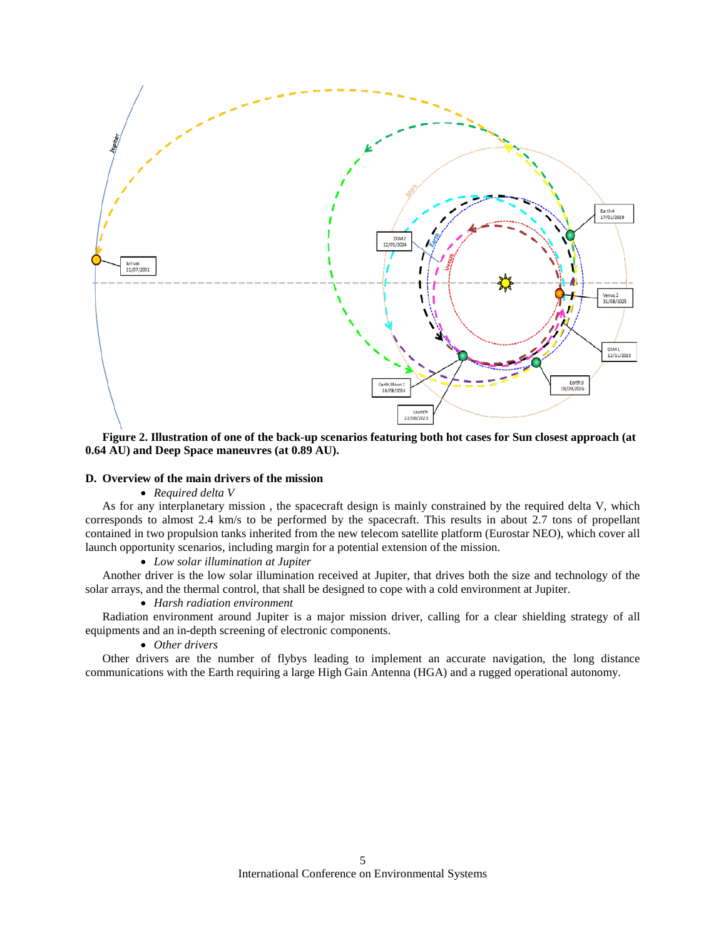

<span id="page-4-0"></span>**Figure 2. Illustration of one of the back-up scenarios featuring both hot cases for Sun closest approach (at 0.64 AU) and Deep Space maneuvres (at 0.89 AU).**

## **D. Overview of the main drivers of the mission**

#### • *Required delta V*

As for any interplanetary mission , the spacecraft design is mainly constrained by the required delta V, which corresponds to almost 2.4 km/s to be performed by the spacecraft. This results in about 2.7 tons of propellant contained in two propulsion tanks inherited from the new telecom satellite platform (Eurostar NEO), which cover all launch opportunity scenarios, including margin for a potential extension of the mission.

## • *Low solar illumination at Jupiter*

Another driver is the low solar illumination received at Jupiter, that drives both the size and technology of the solar arrays, and the thermal control, that shall be designed to cope with a cold environment at Jupiter.

## • *Harsh radiation environment*

Radiation environment around Jupiter is a major mission driver, calling for a clear shielding strategy of all equipments and an in-depth screening of electronic components.

## • *Other drivers*

Other drivers are the number of flybys leading to implement an accurate navigation, the long distance communications with the Earth requiring a large High Gain Antenna (HGA) and a rugged operational autonomy.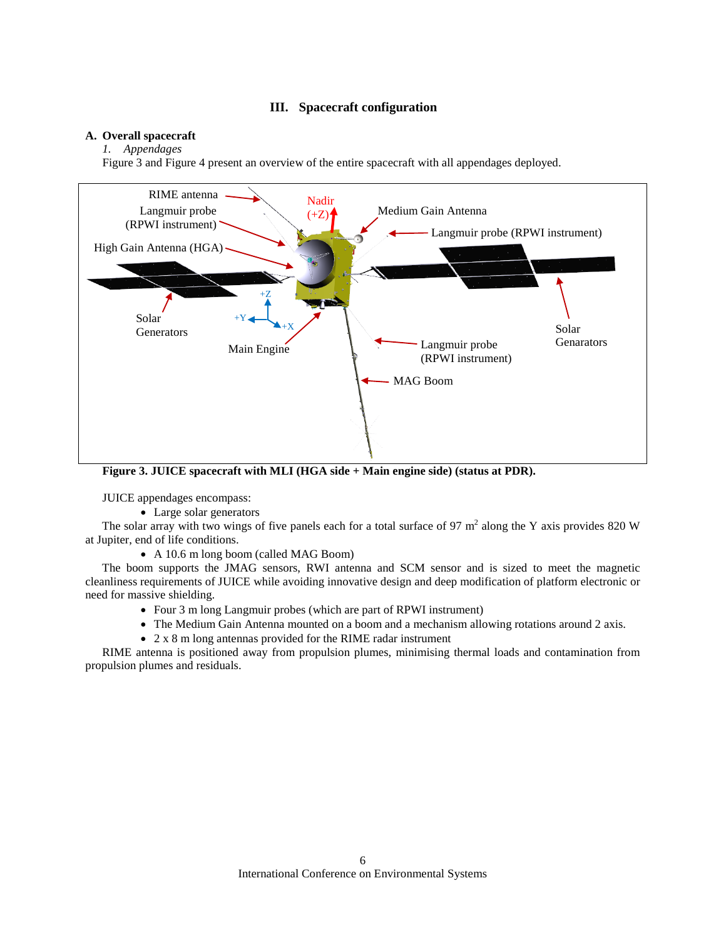# **III. Spacecraft configuration**

## **A. Overall spacecraft**

# *1. Appendages*

[Figure 3](#page-5-0) and [Figure 4](#page-6-0) present an overview of the entire spacecraft with all appendages deployed.



<span id="page-5-0"></span>**Figure 3. JUICE spacecraft with MLI (HGA side + Main engine side) (status at PDR).**

JUICE appendages encompass:

• Large solar generators

The solar array with two wings of five panels each for a total surface of 97  $m<sup>2</sup>$  along the Y axis provides 820 W at Jupiter, end of life conditions.

• A 10.6 m long boom (called MAG Boom)

The boom supports the JMAG sensors, RWI antenna and SCM sensor and is sized to meet the magnetic cleanliness requirements of JUICE while avoiding innovative design and deep modification of platform electronic or need for massive shielding.

- Four 3 m long Langmuir probes (which are part of RPWI instrument)
- The Medium Gain Antenna mounted on a boom and a mechanism allowing rotations around 2 axis.
- 2 x 8 m long antennas provided for the RIME radar instrument

RIME antenna is positioned away from propulsion plumes, minimising thermal loads and contamination from propulsion plumes and residuals.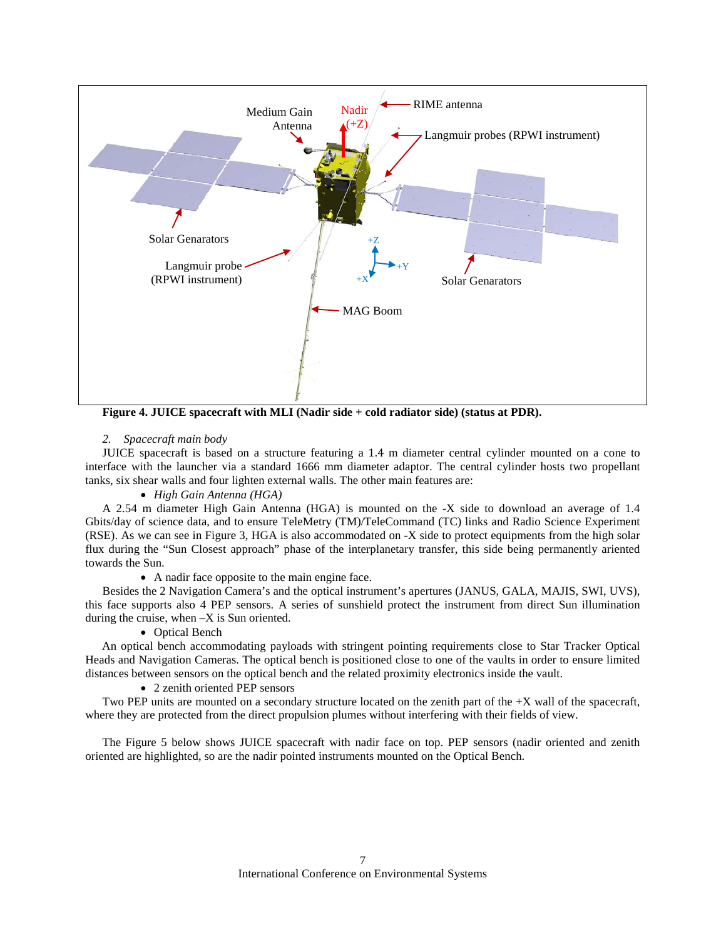

<span id="page-6-0"></span>**Figure 4. JUICE spacecraft with MLI (Nadir side + cold radiator side) (status at PDR).**

*2. Spacecraft main body*

JUICE spacecraft is based on a structure featuring a 1.4 m diameter central cylinder mounted on a cone to interface with the launcher via a standard 1666 mm diameter adaptor. The central cylinder hosts two propellant tanks, six shear walls and four lighten external walls. The other main features are:

• *High Gain Antenna (HGA)*

A 2.54 m diameter High Gain Antenna (HGA) is mounted on the -X side to download an average of 1.4 Gbits/day of science data, and to ensure TeleMetry (TM)/TeleCommand (TC) links and Radio Science Experiment (RSE). As we can see in [Figure 3,](#page-5-0) HGA is also accommodated on -X side to protect equipments from the high solar flux during the "Sun Closest approach" phase of the interplanetary transfer, this side being permanently ariented towards the Sun.

• A nadir face opposite to the main engine face.

Besides the 2 Navigation Camera's and the optical instrument's apertures (JANUS, GALA, MAJIS, SWI, UVS), this face supports also 4 PEP sensors. A series of sunshield protect the instrument from direct Sun illumination during the cruise, when –X is Sun oriented.

# • Optical Bench

An optical bench accommodating payloads with stringent pointing requirements close to Star Tracker Optical Heads and Navigation Cameras. The optical bench is positioned close to one of the vaults in order to ensure limited distances between sensors on the optical bench and the related proximity electronics inside the vault.

• 2 zenith oriented PEP sensors

Two PEP units are mounted on a secondary structure located on the zenith part of the +X wall of the spacecraft, where they are protected from the direct propulsion plumes without interfering with their fields of view.

The [Figure 5](#page-7-0) below shows JUICE spacecraft with nadir face on top. PEP sensors (nadir oriented and zenith oriented are highlighted, so are the nadir pointed instruments mounted on the Optical Bench.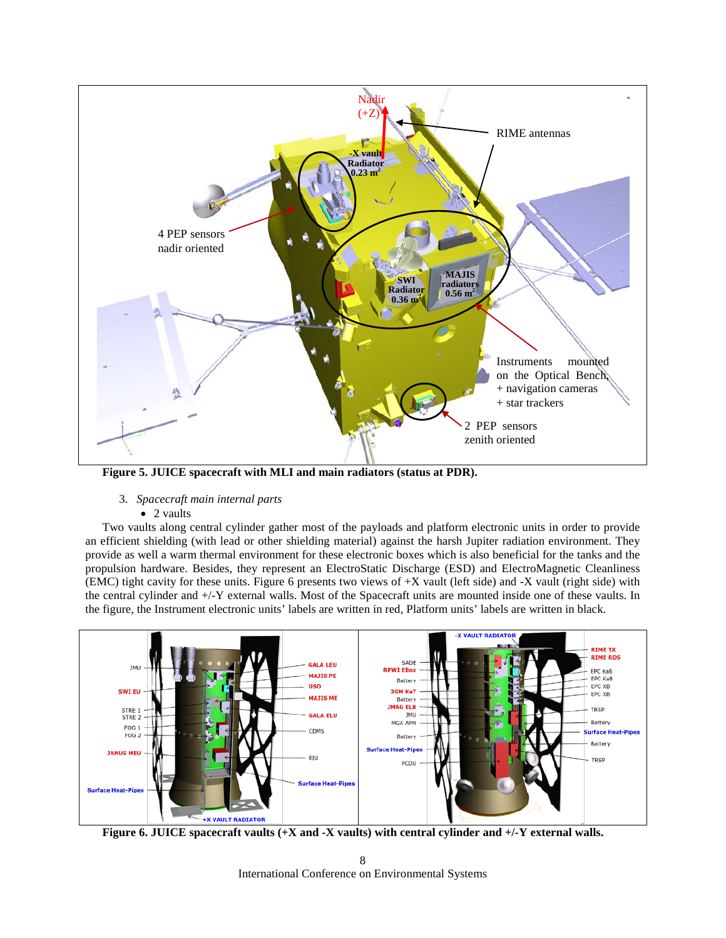

<span id="page-7-0"></span>**Figure 5. JUICE spacecraft with MLI and main radiators (status at PDR).**

- 3. *Spacecraft main internal parts*
	- 2 vaults

Two vaults along central cylinder gather most of the payloads and platform electronic units in order to provide an efficient shielding (with lead or other shielding material) against the harsh Jupiter radiation environment. They provide as well a warm thermal environment for these electronic boxes which is also beneficial for the tanks and the propulsion hardware. Besides, they represent an ElectroStatic Discharge (ESD) and ElectroMagnetic Cleanliness (EMC) tight cavity for these units. [Figure 6](#page-7-1) presents two views of +X vault (left side) and -X vault (right side) with the central cylinder and +/-Y external walls. Most of the Spacecraft units are mounted inside one of these vaults. In the figure, the Instrument electronic units' labels are written in red, Platform units' labels are written in black.



<span id="page-7-1"></span>**Figure 6. JUICE spacecraft vaults (+X and -X vaults) with central cylinder and +/-Y external walls.**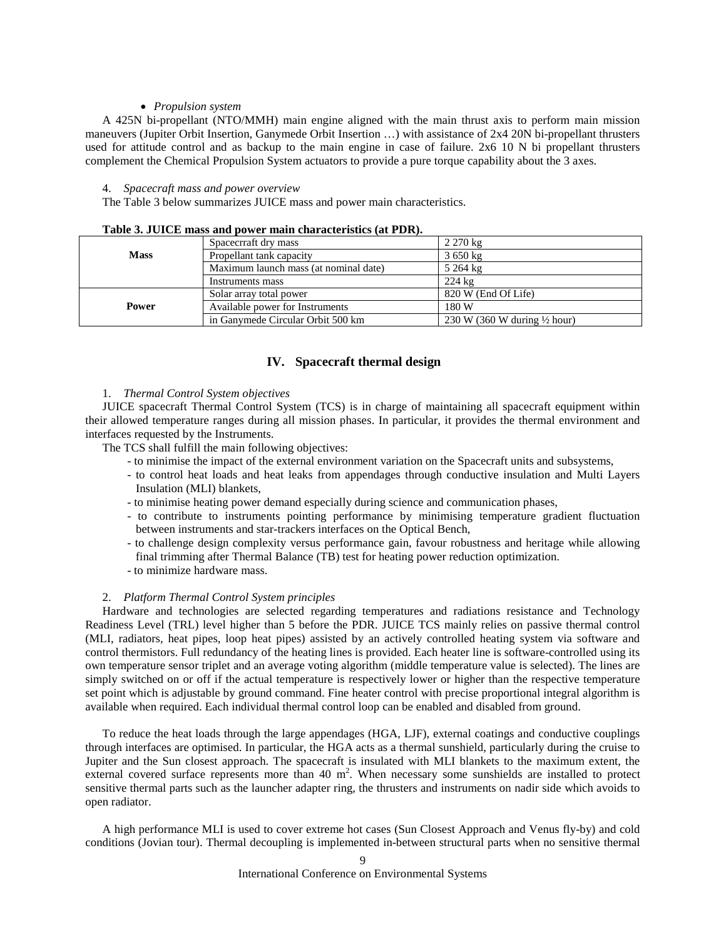## • *Propulsion system*

A 425N bi-propellant (NTO/MMH) main engine aligned with the main thrust axis to perform main mission maneuvers (Jupiter Orbit Insertion, Ganymede Orbit Insertion …) with assistance of 2x4 20N bi-propellant thrusters used for attitude control and as backup to the main engine in case of failure. 2x6 10 N bi propellant thrusters complement the Chemical Propulsion System actuators to provide a pure torque capability about the 3 axes.

## 4. *Spacecraft mass and power overview*

The [Table 3](#page-8-0) below summarizes JUICE mass and power main characteristics.

<span id="page-8-0"></span>

|             | Spacecrraft dry mass                  | $2270 \text{ kg}$                       |  |
|-------------|---------------------------------------|-----------------------------------------|--|
| <b>Mass</b> | Propellant tank capacity              | $3650 \text{ kg}$                       |  |
|             | Maximum launch mass (at nominal date) | 5 264 kg                                |  |
|             | Instruments mass                      | $224 \text{ kg}$                        |  |
|             | Solar array total power               | 820 W (End Of Life)                     |  |
| Power       | Available power for Instruments       | 180 W                                   |  |
|             | in Ganymede Circular Orbit 500 km     | 230 W (360 W during $\frac{1}{2}$ hour) |  |

## **Table 3. JUICE mass and power main characteristics (at PDR).**

# **IV. Spacecraft thermal design**

## 1. *Thermal Control System objectives*

JUICE spacecraft Thermal Control System (TCS) is in charge of maintaining all spacecraft equipment within their allowed temperature ranges during all mission phases. In particular, it provides the thermal environment and interfaces requested by the Instruments.

The TCS shall fulfill the main following objectives:

- to minimise the impact of the external environment variation on the Spacecraft units and subsystems,
- to control heat loads and heat leaks from appendages through conductive insulation and Multi Layers Insulation (MLI) blankets,
- to minimise heating power demand especially during science and communication phases,
- to contribute to instruments pointing performance by minimising temperature gradient fluctuation between instruments and star-trackers interfaces on the Optical Bench,
- to challenge design complexity versus performance gain, favour robustness and heritage while allowing final trimming after Thermal Balance (TB) test for heating power reduction optimization.
- to minimize hardware mass.

# 2. *Platform Thermal Control System principles*

Hardware and technologies are selected regarding temperatures and radiations resistance and Technology Readiness Level (TRL) level higher than 5 before the PDR. JUICE TCS mainly relies on passive thermal control (MLI, radiators, heat pipes, loop heat pipes) assisted by an actively controlled heating system via software and control thermistors. Full redundancy of the heating lines is provided. Each heater line is software-controlled using its own temperature sensor triplet and an average voting algorithm (middle temperature value is selected). The lines are simply switched on or off if the actual temperature is respectively lower or higher than the respective temperature set point which is adjustable by ground command. Fine heater control with precise proportional integral algorithm is available when required. Each individual thermal control loop can be enabled and disabled from ground.

To reduce the heat loads through the large appendages (HGA, LJF), external coatings and conductive couplings through interfaces are optimised. In particular, the HGA acts as a thermal sunshield, particularly during the cruise to Jupiter and the Sun closest approach. The spacecraft is insulated with MLI blankets to the maximum extent, the external covered surface represents more than 40  $m^2$ . When necessary some sunshields are installed to protect sensitive thermal parts such as the launcher adapter ring, the thrusters and instruments on nadir side which avoids to open radiator.

A high performance MLI is used to cover extreme hot cases (Sun Closest Approach and Venus fly-by) and cold conditions (Jovian tour). Thermal decoupling is implemented in-between structural parts when no sensitive thermal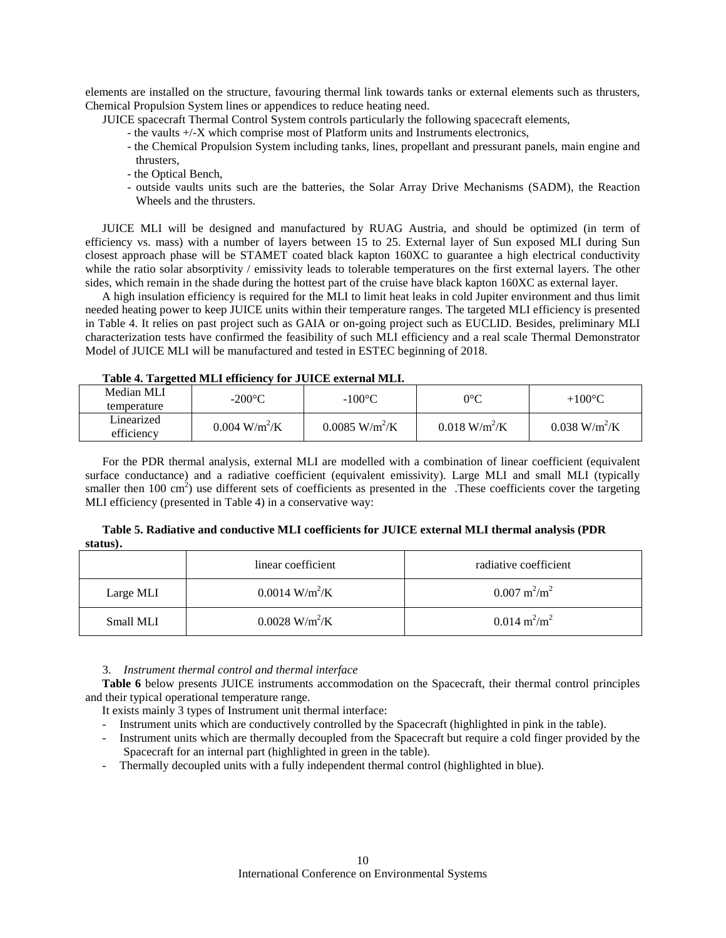elements are installed on the structure, favouring thermal link towards tanks or external elements such as thrusters, Chemical Propulsion System lines or appendices to reduce heating need.

JUICE spacecraft Thermal Control System controls particularly the following spacecraft elements,

- the vaults +/-X which comprise most of Platform units and Instruments electronics,
- the Chemical Propulsion System including tanks, lines, propellant and pressurant panels, main engine and thrusters,
- the Optical Bench,
- outside vaults units such are the batteries, the Solar Array Drive Mechanisms (SADM), the Reaction Wheels and the thrusters.

JUICE MLI will be designed and manufactured by RUAG Austria, and should be optimized (in term of efficiency vs. mass) with a number of layers between 15 to 25. External layer of Sun exposed MLI during Sun closest approach phase will be STAMET coated black kapton 160XC to guarantee a high electrical conductivity while the ratio solar absorptivity / emissivity leads to tolerable temperatures on the first external layers. The other sides, which remain in the shade during the hottest part of the cruise have black kapton 160XC as external layer.

A high insulation efficiency is required for the MLI to limit heat leaks in cold Jupiter environment and thus limit needed heating power to keep JUICE units within their temperature ranges. The targeted MLI efficiency is presented in [Table 4.](#page-9-0) It relies on past project such as GAIA or on-going project such as EUCLID. Besides, preliminary MLI characterization tests have confirmed the feasibility of such MLI efficiency and a real scale Thermal Demonstrator Model of JUICE MLI will be manufactured and tested in ESTEC beginning of 2018.

## **Table 4. Targetted MLI efficiency for JUICE external MLI.**

<span id="page-9-0"></span>

| Median MLI  | $-200\textdegree C$         | $-100^{\circ}$ C             | $0^{\circ}\mathrm{C}$       | $+100^{\circ}$ C               |
|-------------|-----------------------------|------------------------------|-----------------------------|--------------------------------|
| temperature |                             |                              |                             |                                |
| Linearized  | $0.004$ W/m <sup>2</sup> /K | $0.0085$ W/m <sup>2</sup> /K | $0.018$ W/m <sup>2</sup> /K | $0.038 \text{ W/m}^2/\text{K}$ |
| efficiency  |                             |                              |                             |                                |

For the PDR thermal analysis, external MLI are modelled with a combination of linear coefficient (equivalent surface conductance) and a radiative coefficient (equivalent emissivity). Large MLI and small MLI (typically smaller then  $100 \text{ cm}^2$ ) use different sets of coefficients as presented in the .These coefficients cover the targeting MLI efficiency (presented i[n Table 4\)](#page-9-0) in a conservative way:

| Table 5. Radiative and conductive MLI coefficients for JUICE external MLI thermal analysis (PDR |  |
|-------------------------------------------------------------------------------------------------|--|
| status).                                                                                        |  |

|           | linear coefficient              | radiative coefficient          |
|-----------|---------------------------------|--------------------------------|
| Large MLI | $0.0014$ W/m <sup>2</sup> /K    | $0.007 \text{ m}^2/\text{m}^2$ |
| Small MLI | $0.0028 \text{ W/m}^2/\text{K}$ | $0.014 \text{ m}^2/\text{m}^2$ |

3. *Instrument thermal control and thermal interface*

**[Table 6](#page-10-0)** below presents JUICE instruments accommodation on the Spacecraft, their thermal control principles and their typical operational temperature range.

It exists mainly 3 types of Instrument unit thermal interface:

- Instrument units which are conductively controlled by the Spacecraft (highlighted in pink in the table).
- Instrument units which are thermally decoupled from the Spacecraft but require a cold finger provided by the Spacecraft for an internal part (highlighted in green in the table).
- Thermally decoupled units with a fully independent thermal control (highlighted in blue).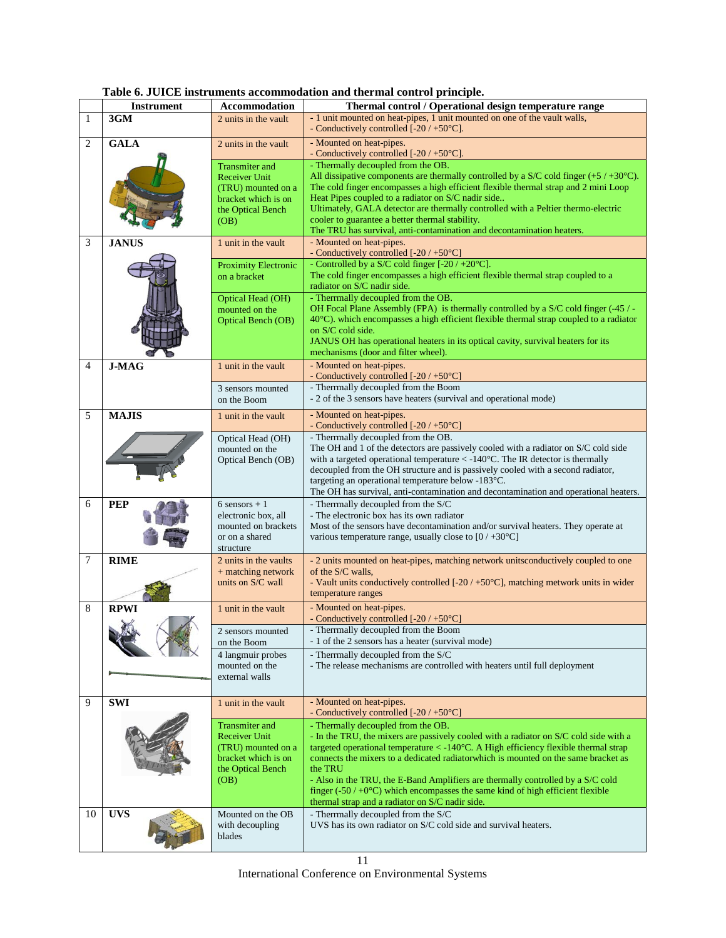<span id="page-10-0"></span>

|    | <b>Instrument</b> | Accommodation                           | we occur mou uniclus accommounton and thermal control principie.<br>Thermal control / Operational design temperature range                                          |
|----|-------------------|-----------------------------------------|---------------------------------------------------------------------------------------------------------------------------------------------------------------------|
| 1  | 3GM               | 2 units in the vault                    | - 1 unit mounted on heat-pipes, 1 unit mounted on one of the vault walls,                                                                                           |
|    |                   |                                         | - Conductively controlled [-20 / +50°C].                                                                                                                            |
| 2  | <b>GALA</b>       | 2 units in the vault                    | - Mounted on heat-pipes.                                                                                                                                            |
|    |                   |                                         | - Conductively controlled $[-20/50^{\circ}\text{C}]$ .                                                                                                              |
|    |                   | <b>Transmiter</b> and                   | - Thermally decoupled from the OB.                                                                                                                                  |
|    |                   | <b>Receiver Unit</b>                    | All dissipative components are thermally controlled by a S/C cold finger $(+5 / +30^{\circ}C)$ .                                                                    |
|    |                   | (TRU) mounted on a                      | The cold finger encompasses a high efficient flexible thermal strap and 2 mini Loop                                                                                 |
|    |                   | bracket which is on                     | Heat Pipes coupled to a radiator on S/C nadir side                                                                                                                  |
|    |                   | the Optical Bench                       | Ultimately, GALA detector are thermally controlled with a Peltier thermo-electric<br>cooler to guarantee a better thermal stability.                                |
|    |                   | (OB)                                    | The TRU has survival, anti-contamination and decontamination heaters.                                                                                               |
| 3  | <b>JANUS</b>      | 1 unit in the vault                     | - Mounted on heat-pipes.                                                                                                                                            |
|    |                   |                                         | - Conductively controlled $[-20/50^{\circ}\text{C}]$                                                                                                                |
|    |                   | Proximity Electronic                    | - Controlled by a S/C cold finger $[-20 / +20^{\circ}C]$ .                                                                                                          |
|    |                   | on a bracket                            | The cold finger encompasses a high efficient flexible thermal strap coupled to a                                                                                    |
|    |                   |                                         | radiator on S/C nadir side.                                                                                                                                         |
|    |                   | Optical Head (OH)                       | - Therrmally decoupled from the OB.<br>OH Focal Plane Assembly (FPA) is thermally controlled by a $S/C$ cold finger (-45 / -                                        |
|    |                   | mounted on the<br>Optical Bench (OB)    | 40°C). which encompasses a high efficient flexible thermal strap coupled to a radiator                                                                              |
|    |                   |                                         | on S/C cold side.                                                                                                                                                   |
|    |                   |                                         | JANUS OH has operational heaters in its optical cavity, survival heaters for its                                                                                    |
|    |                   |                                         | mechanisms (door and filter wheel).                                                                                                                                 |
| 4  | <b>J-MAG</b>      | 1 unit in the vault                     | - Mounted on heat-pipes.                                                                                                                                            |
|    |                   |                                         | - Conductively controlled [-20 / +50°C]<br>- Therrmally decoupled from the Boom                                                                                     |
|    |                   | 3 sensors mounted<br>on the Boom        | - 2 of the 3 sensors have heaters (survival and operational mode)                                                                                                   |
|    |                   |                                         |                                                                                                                                                                     |
| 5  | <b>MAJIS</b>      | 1 unit in the vault                     | - Mounted on heat-pipes.<br>- Conductively controlled $[-20/50^{\circ}\text{C}]$                                                                                    |
|    |                   | Optical Head (OH)                       | - Therrmally decoupled from the OB.                                                                                                                                 |
|    |                   | mounted on the                          | The OH and 1 of the detectors are passively cooled with a radiator on S/C cold side                                                                                 |
|    |                   | Optical Bench (OB)                      | with a targeted operational temperature $\langle -140^{\circ}$ C. The IR detector is thermally                                                                      |
|    |                   |                                         | decoupled from the OH structure and is passively cooled with a second radiator,                                                                                     |
|    |                   |                                         | targeting an operational temperature below -183°C.                                                                                                                  |
| 6  | <b>PEP</b>        | $6$ sensors $+1$                        | The OH has survival, anti-contamination and decontamination and operational heaters.<br>- Therrmally decoupled from the S/C                                         |
|    |                   | electronic box, all                     | - The electronic box has its own radiator                                                                                                                           |
|    |                   | mounted on brackets                     | Most of the sensors have decontamination and/or survival heaters. They operate at                                                                                   |
|    |                   | or on a shared                          | various temperature range, usually close to $[0/430^{\circ}\text{C}]$                                                                                               |
|    |                   | structure                               |                                                                                                                                                                     |
| 7  | <b>RIME</b>       | 2 units in the vaults                   | - 2 units mounted on heat-pipes, matching network unitsconductively coupled to one                                                                                  |
|    |                   | + matching network<br>units on S/C wall | of the S/C walls.<br>- Vault units conductively controlled $[-20/50^{\circ}\text{C}]$ , matching metwork units in wider                                             |
|    |                   |                                         | temperature ranges                                                                                                                                                  |
| 8  | <b>RPWI</b>       | 1 unit in the vault                     | - Mounted on heat-pipes.                                                                                                                                            |
|    |                   |                                         | - Conductively controlled $[-20/50^{\circ}\text{C}]$                                                                                                                |
|    | X                 | 2 sensors mounted                       | - Therrmally decoupled from the Boom                                                                                                                                |
|    |                   | on the Boom                             | - 1 of the 2 sensors has a heater (survival mode)                                                                                                                   |
|    |                   | 4 langmuir probes                       | - Therrmally decoupled from the S/C                                                                                                                                 |
|    |                   | mounted on the                          | - The release mechanisms are controlled with heaters until full deployment                                                                                          |
|    |                   | external walls                          |                                                                                                                                                                     |
| 9  |                   |                                         | - Mounted on heat-pipes.                                                                                                                                            |
|    | <b>SWI</b>        | 1 unit in the vault                     | - Conductively controlled [-20 / +50°C]                                                                                                                             |
|    |                   | <b>Transmiter</b> and                   | - Thermally decoupled from the OB.                                                                                                                                  |
|    |                   | <b>Receiver Unit</b>                    | - In the TRU, the mixers are passively cooled with a radiator on S/C cold side with a                                                                               |
|    |                   | (TRU) mounted on a                      | targeted operational temperature $<$ -140 $^{\circ}$ C. A High efficiency flexible thermal strap                                                                    |
|    |                   | bracket which is on                     | connects the mixers to a dedicated radiator which is mounted on the same bracket as                                                                                 |
|    |                   | the Optical Bench                       | the TRU                                                                                                                                                             |
|    |                   | (OB)                                    | - Also in the TRU, the E-Band Amplifiers are thermally controlled by a S/C cold<br>finger $(.50 / +0°C)$ which encompasses the same kind of high efficient flexible |
|    |                   |                                         | thermal strap and a radiator on S/C nadir side.                                                                                                                     |
| 10 | <b>UVS</b>        | Mounted on the OB                       | - Therrmally decoupled from the S/C                                                                                                                                 |
|    |                   | with decoupling                         | UVS has its own radiator on S/C cold side and survival heaters.                                                                                                     |
|    |                   | blades                                  |                                                                                                                                                                     |
|    |                   |                                         |                                                                                                                                                                     |

**Table 6. JUICE instruments accommodation and thermal control principle.**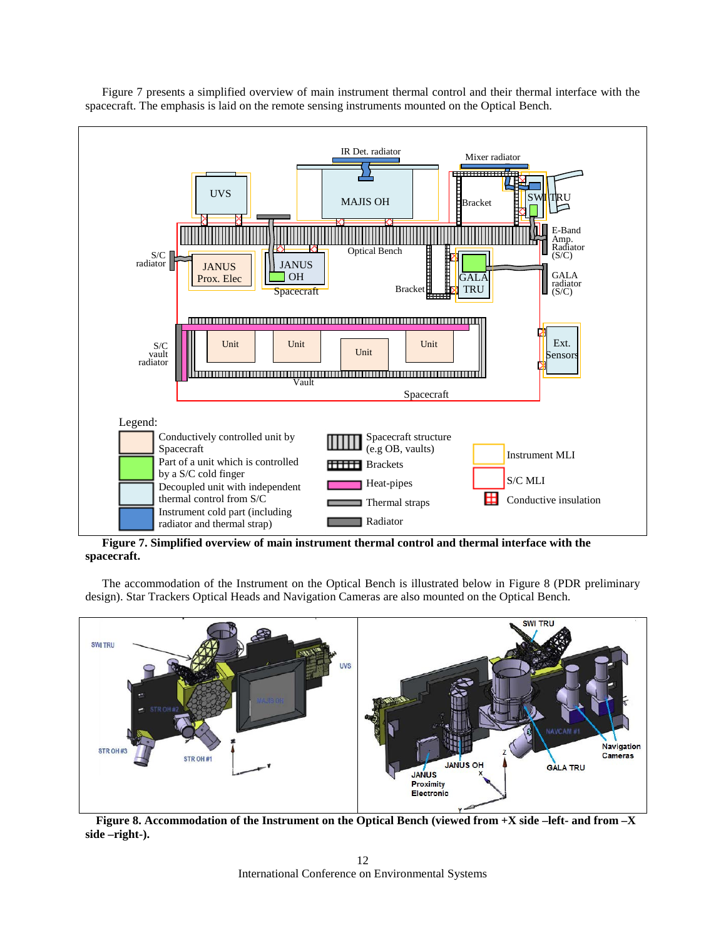

[Figure 7](#page-11-0) presents a simplified overview of main instrument thermal control and their thermal interface with the spacecraft. The emphasis is laid on the remote sensing instruments mounted on the Optical Bench.

<span id="page-11-0"></span>**Figure 7. Simplified overview of main instrument thermal control and thermal interface with the spacecraft.**

The accommodation of the Instrument on the Optical Bench is illustrated below in [Figure 8](#page-11-1) (PDR preliminary design). Star Trackers Optical Heads and Navigation Cameras are also mounted on the Optical Bench.



<span id="page-11-1"></span>**Figure 8. Accommodation of the Instrument on the Optical Bench (viewed from +X side –left- and from –X side –right-).**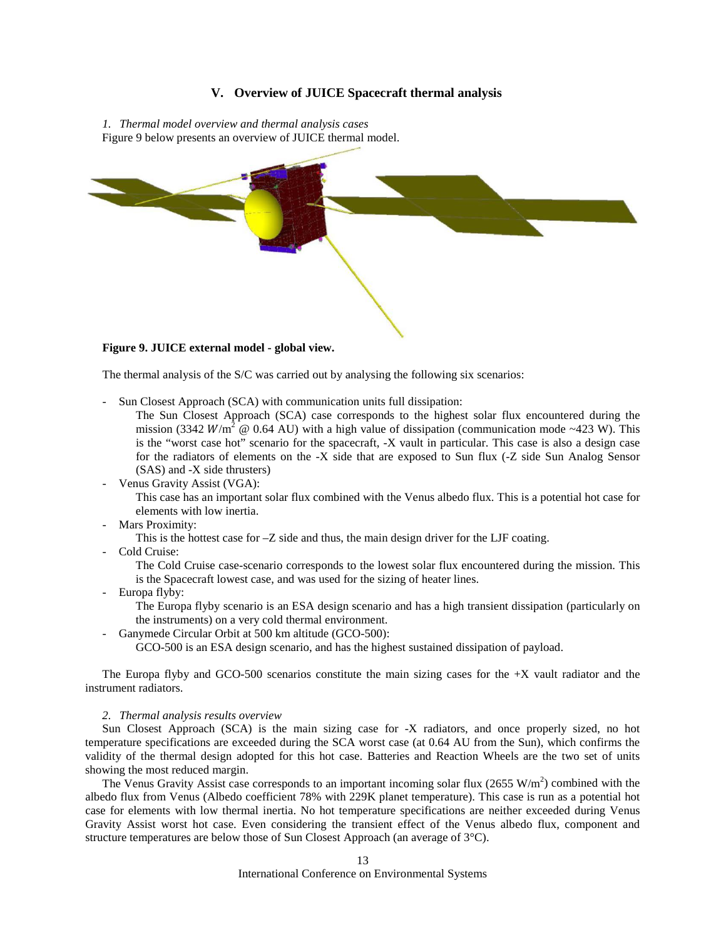# **V. Overview of JUICE Spacecraft thermal analysis**

*1. Thermal model overview and thermal analysis cases* [Figure 9](#page-12-0) below presents an overview of JUICE thermal model.



#### <span id="page-12-0"></span>**Figure 9. JUICE external model - global view.**

The thermal analysis of the S/C was carried out by analysing the following six scenarios:

- Sun Closest Approach (SCA) with communication units full dissipation:
	- The Sun Closest Approach (SCA) case corresponds to the highest solar flux encountered during the mission (3342  $W/m^2 \otimes 0.64$  AU) with a high value of dissipation (communication mode ~423 W). This is the "worst case hot" scenario for the spacecraft, -X vault in particular. This case is also a design case for the radiators of elements on the -X side that are exposed to Sun flux (-Z side Sun Analog Sensor (SAS) and -X side thrusters)
- Venus Gravity Assist (VGA):

This case has an important solar flux combined with the Venus albedo flux. This is a potential hot case for elements with low inertia.

Mars Proximity:

This is the hottest case for –Z side and thus, the main design driver for the LJF coating.

Cold Cruise:

The Cold Cruise case-scenario corresponds to the lowest solar flux encountered during the mission. This is the Spacecraft lowest case, and was used for the sizing of heater lines.

- Europa flyby:

The Europa flyby scenario is an ESA design scenario and has a high transient dissipation (particularly on the instruments) on a very cold thermal environment.

- Ganymede Circular Orbit at 500 km altitude (GCO-500):

GCO-500 is an ESA design scenario, and has the highest sustained dissipation of payload.

The Europa flyby and GCO-500 scenarios constitute the main sizing cases for the  $+X$  vault radiator and the instrument radiators.

#### *2. Thermal analysis results overview*

Sun Closest Approach (SCA) is the main sizing case for -X radiators, and once properly sized, no hot temperature specifications are exceeded during the SCA worst case (at 0.64 AU from the Sun), which confirms the validity of the thermal design adopted for this hot case. Batteries and Reaction Wheels are the two set of units showing the most reduced margin.

The Venus Gravity Assist case corresponds to an important incoming solar flux  $(2655 \text{ W/m}^2)$  combined with the albedo flux from Venus (Albedo coefficient 78% with 229K planet temperature). This case is run as a potential hot case for elements with low thermal inertia. No hot temperature specifications are neither exceeded during Venus Gravity Assist worst hot case. Even considering the transient effect of the Venus albedo flux, component and structure temperatures are below those of Sun Closest Approach (an average of 3°C).